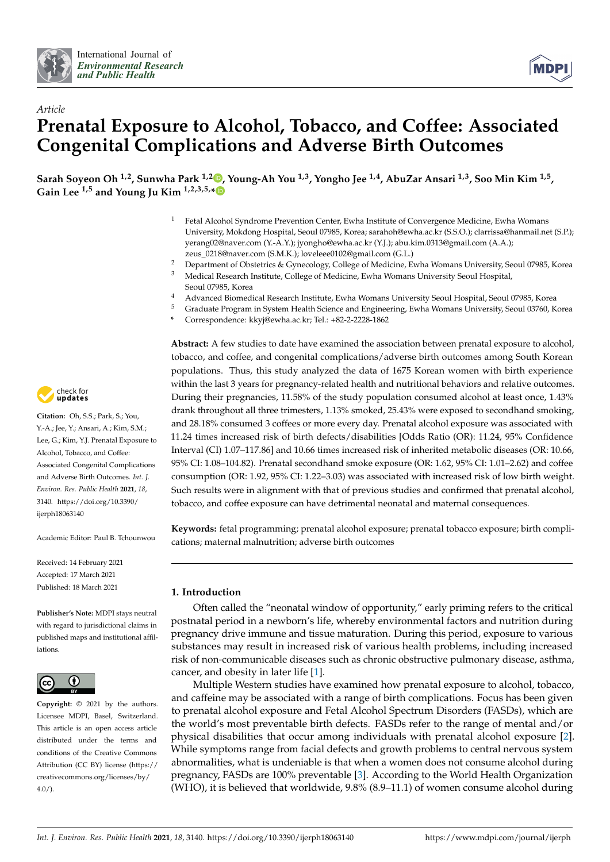



# *Article* **Prenatal Exposure to Alcohol, Tobacco, and Coffee: Associated Congenital Complications and Adverse Birth Outcomes**

**Sarah Soyeon Oh 1,2, Sunwha Park 1,2 [,](https://orcid.org/0000-0001-8142-7783) Young-Ah You 1,3, Yongho Jee 1,4, AbuZar Ansari 1,3, Soo Min Kim 1,5 , Gain Lee 1,5 and Young Ju Kim 1,2,3,5,[\\*](https://orcid.org/0000-0002-3153-3008)**

- $1$  Fetal Alcohol Syndrome Prevention Center, Ewha Institute of Convergence Medicine, Ewha Womans University, Mokdong Hospital, Seoul 07985, Korea; sarahoh@ewha.ac.kr (S.S.O.); clarrissa@hanmail.net (S.P.); yerang02@naver.com (Y.-A.Y.); jyongho@ewha.ac.kr (Y.J.); abu.kim.0313@gmail.com (A.A.); zeus\_0218@naver.com (S.M.K.); loveleee0102@gmail.com (G.L.)
- <sup>2</sup> Department of Obstetrics & Gynecology, College of Medicine, Ewha Womans University, Seoul 07985, Korea<br><sup>3</sup> Medical Besearch Institute, College of Medicine, Eytha Womans University Seoul Hespital <sup>3</sup> Medical Research Institute, College of Medicine, Ewha Womans University Seoul Hospital, Seoul 07985, Korea
- 4 Advanced Biomedical Research Institute, Ewha Womans University Seoul Hospital, Seoul 07985, Korea<br>5 Craduate Program in System Hoalth Seignes and Fracinositing Futbo Wamans University Seoul 07760, K
- <sup>5</sup> Graduate Program in System Health Science and Engineering, Ewha Womans University, Seoul 03760, Korea
- **\*** Correspondence: kkyj@ewha.ac.kr; Tel.: +82-2-2228-1862

**Abstract:** A few studies to date have examined the association between prenatal exposure to alcohol, tobacco, and coffee, and congenital complications/adverse birth outcomes among South Korean populations. Thus, this study analyzed the data of 1675 Korean women with birth experience within the last 3 years for pregnancy-related health and nutritional behaviors and relative outcomes. During their pregnancies, 11.58% of the study population consumed alcohol at least once, 1.43% drank throughout all three trimesters, 1.13% smoked, 25.43% were exposed to secondhand smoking, and 28.18% consumed 3 coffees or more every day. Prenatal alcohol exposure was associated with 11.24 times increased risk of birth defects/disabilities [Odds Ratio (OR): 11.24, 95% Confidence Interval (CI) 1.07–117.86] and 10.66 times increased risk of inherited metabolic diseases (OR: 10.66, 95% CI: 1.08–104.82). Prenatal secondhand smoke exposure (OR: 1.62, 95% CI: 1.01–2.62) and coffee consumption (OR: 1.92, 95% CI: 1.22–3.03) was associated with increased risk of low birth weight. Such results were in alignment with that of previous studies and confirmed that prenatal alcohol, tobacco, and coffee exposure can have detrimental neonatal and maternal consequences.

**Keywords:** fetal programming; prenatal alcohol exposure; prenatal tobacco exposure; birth complications; maternal malnutrition; adverse birth outcomes

## **1. Introduction**

Often called the "neonatal window of opportunity," early priming refers to the critical postnatal period in a newborn's life, whereby environmental factors and nutrition during pregnancy drive immune and tissue maturation. During this period, exposure to various substances may result in increased risk of various health problems, including increased risk of non-communicable diseases such as chronic obstructive pulmonary disease, asthma, cancer, and obesity in later life [\[1\]](#page-6-0).

Multiple Western studies have examined how prenatal exposure to alcohol, tobacco, and caffeine may be associated with a range of birth complications. Focus has been given to prenatal alcohol exposure and Fetal Alcohol Spectrum Disorders (FASDs), which are the world's most preventable birth defects. FASDs refer to the range of mental and/or physical disabilities that occur among individuals with prenatal alcohol exposure [\[2\]](#page-6-1). While symptoms range from facial defects and growth problems to central nervous system abnormalities, what is undeniable is that when a women does not consume alcohol during pregnancy, FASDs are 100% preventable [\[3\]](#page-6-2). According to the World Health Organization (WHO), it is believed that worldwide, 9.8% (8.9–11.1) of women consume alcohol during



**Citation:** Oh, S.S.; Park, S.; You, Y.-A.; Jee, Y.; Ansari, A.; Kim, S.M.; Lee, G.; Kim, Y.J. Prenatal Exposure to Alcohol, Tobacco, and Coffee: Associated Congenital Complications and Adverse Birth Outcomes. *Int. J. Environ. Res. Public Health* **2021**, *18*, 3140. [https://doi.org/10.3390/](https://doi.org/10.3390/ijerph18063140) [ijerph18063140](https://doi.org/10.3390/ijerph18063140)

Academic Editor: Paul B. Tchounwou

Received: 14 February 2021 Accepted: 17 March 2021 Published: 18 March 2021

**Publisher's Note:** MDPI stays neutral with regard to jurisdictional claims in published maps and institutional affiliations.



**Copyright:** © 2021 by the authors. Licensee MDPI, Basel, Switzerland. This article is an open access article distributed under the terms and conditions of the Creative Commons Attribution (CC BY) license (https:/[/](https://creativecommons.org/licenses/by/4.0/) [creativecommons.org/licenses/by/](https://creativecommons.org/licenses/by/4.0/) 4.0/).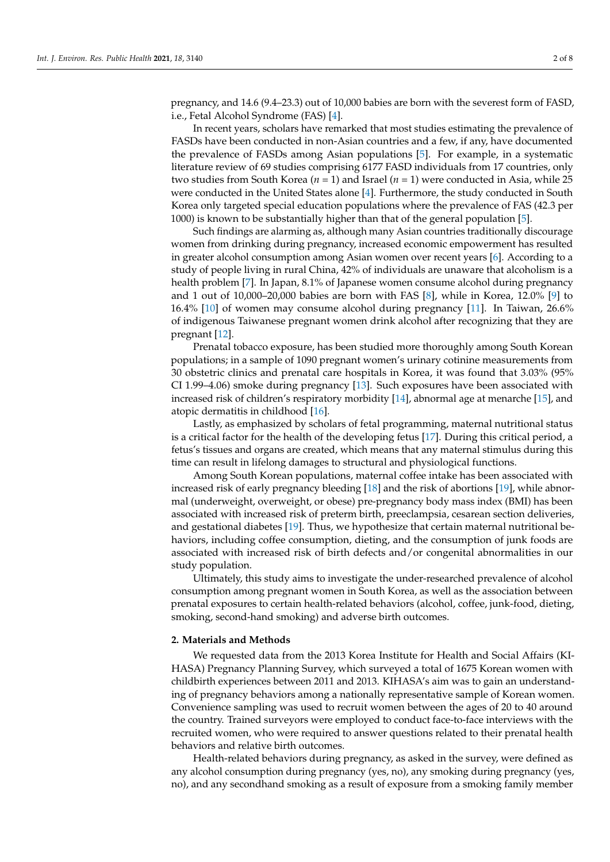pregnancy, and 14.6 (9.4–23.3) out of 10,000 babies are born with the severest form of FASD, i.e., Fetal Alcohol Syndrome (FAS) [\[4\]](#page-6-3).

In recent years, scholars have remarked that most studies estimating the prevalence of FASDs have been conducted in non-Asian countries and a few, if any, have documented the prevalence of FASDs among Asian populations [\[5\]](#page-6-4). For example, in a systematic literature review of 69 studies comprising 6177 FASD individuals from 17 countries, only two studies from South Korea (*n* = 1) and Israel (*n* = 1) were conducted in Asia, while 25 were conducted in the United States alone [\[4\]](#page-6-3). Furthermore, the study conducted in South Korea only targeted special education populations where the prevalence of FAS (42.3 per 1000) is known to be substantially higher than that of the general population [\[5\]](#page-6-4).

Such findings are alarming as, although many Asian countries traditionally discourage women from drinking during pregnancy, increased economic empowerment has resulted in greater alcohol consumption among Asian women over recent years [\[6\]](#page-6-5). According to a study of people living in rural China, 42% of individuals are unaware that alcoholism is a health problem [\[7\]](#page-6-6). In Japan, 8.1% of Japanese women consume alcohol during pregnancy and 1 out of 10,000–20,000 babies are born with FAS [\[8\]](#page-6-7), while in Korea, 12.0% [\[9\]](#page-6-8) to 16.4% [\[10\]](#page-6-9) of women may consume alcohol during pregnancy [\[11\]](#page-6-10). In Taiwan, 26.6% of indigenous Taiwanese pregnant women drink alcohol after recognizing that they are pregnant [\[12\]](#page-6-11).

Prenatal tobacco exposure, has been studied more thoroughly among South Korean populations; in a sample of 1090 pregnant women's urinary cotinine measurements from 30 obstetric clinics and prenatal care hospitals in Korea, it was found that 3.03% (95% CI 1.99–4.06) smoke during pregnancy [\[13\]](#page-6-12). Such exposures have been associated with increased risk of children's respiratory morbidity [\[14\]](#page-6-13), abnormal age at menarche [\[15\]](#page-6-14), and atopic dermatitis in childhood [\[16\]](#page-6-15).

Lastly, as emphasized by scholars of fetal programming, maternal nutritional status is a critical factor for the health of the developing fetus [\[17\]](#page-6-16). During this critical period, a fetus's tissues and organs are created, which means that any maternal stimulus during this time can result in lifelong damages to structural and physiological functions.

Among South Korean populations, maternal coffee intake has been associated with increased risk of early pregnancy bleeding [\[18\]](#page-6-17) and the risk of abortions [\[19\]](#page-6-18), while abnormal (underweight, overweight, or obese) pre-pregnancy body mass index (BMI) has been associated with increased risk of preterm birth, preeclampsia, cesarean section deliveries, and gestational diabetes [\[19\]](#page-6-18). Thus, we hypothesize that certain maternal nutritional behaviors, including coffee consumption, dieting, and the consumption of junk foods are associated with increased risk of birth defects and/or congenital abnormalities in our study population.

Ultimately, this study aims to investigate the under-researched prevalence of alcohol consumption among pregnant women in South Korea, as well as the association between prenatal exposures to certain health-related behaviors (alcohol, coffee, junk-food, dieting, smoking, second-hand smoking) and adverse birth outcomes.

#### **2. Materials and Methods**

We requested data from the 2013 Korea Institute for Health and Social Affairs (KI-HASA) Pregnancy Planning Survey, which surveyed a total of 1675 Korean women with childbirth experiences between 2011 and 2013. KIHASA's aim was to gain an understanding of pregnancy behaviors among a nationally representative sample of Korean women. Convenience sampling was used to recruit women between the ages of 20 to 40 around the country. Trained surveyors were employed to conduct face-to-face interviews with the recruited women, who were required to answer questions related to their prenatal health behaviors and relative birth outcomes.

Health-related behaviors during pregnancy, as asked in the survey, were defined as any alcohol consumption during pregnancy (yes, no), any smoking during pregnancy (yes, no), and any secondhand smoking as a result of exposure from a smoking family member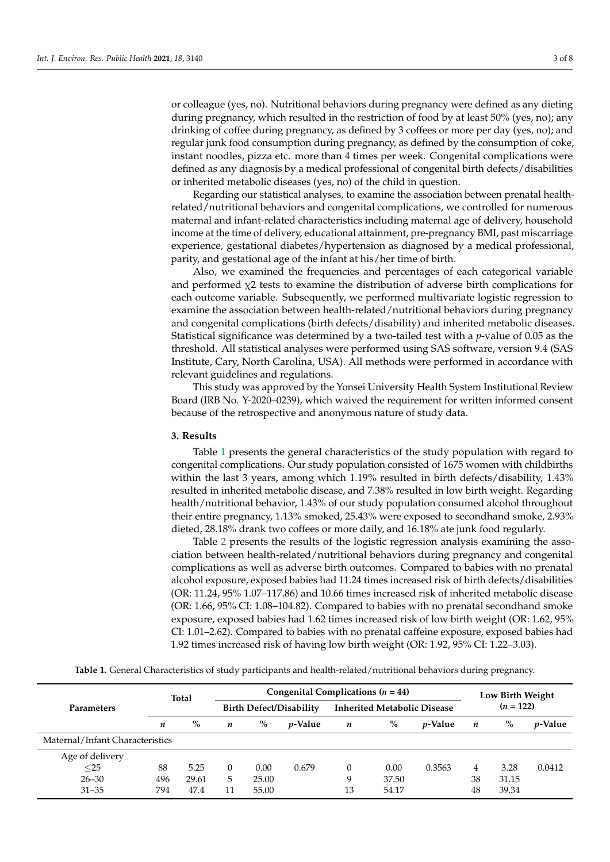or colleague (yes, no). Nutritional behaviors during pregnancy were defined as any dieting during pregnancy, which resulted in the restriction of food by at least 50% (yes, no); any drinking of coffee during pregnancy, as defined by 3 coffees or more per day (yes, no); and regular junk food consumption during pregnancy, as defined by the consumption of coke, instant noodles, pizza etc. more than 4 times per week. Congenital complications were defined as any diagnosis by a medical professional of congenital birth defects/disabilities or inherited metabolic diseases (yes, no) of the child in question.

Regarding our statistical analyses, to examine the association between prenatal healthrelated/nutritional behaviors and congenital complications, we controlled for numerous maternal and infant-related characteristics including maternal age of delivery, household income at the time of delivery, educational attainment, pre-pregnancy BMI, past miscarriage experience, gestational diabetes/hypertension as diagnosed by a medical professional, parity, and gestational age of the infant at his/her time of birth.

Also, we examined the frequencies and percentages of each categorical variable and performed  $\chi$ 2 tests to examine the distribution of adverse birth complications for each outcome variable. Subsequently, we performed multivariate logistic regression to examine the association between health-related/nutritional behaviors during pregnancy and congenital complications (birth defects/disability) and inherited metabolic diseases. Statistical significance was determined by a two-tailed test with a *p*-value of 0.05 as the threshold. All statistical analyses were performed using SAS software, version 9.4 (SAS Institute, Cary, North Carolina, USA). All methods were performed in accordance with relevant guidelines and regulations.

This study was approved by the Yonsei University Health System Institutional Review Board (IRB No. Y-2020–0239), which waived the requirement for written informed consent because of the retrospective and anonymous nature of study data.

#### **3. Results**

Table [1](#page-3-0) presents the general characteristics of the study population with regard to congenital complications. Our study population consisted of 1675 women with childbirths within the last 3 years, among which 1.19% resulted in birth defects/disability, 1.43% resulted in inherited metabolic disease, and 7.38% resulted in low birth weight. Regarding health/nutritional behavior, 1.43% of our study population consumed alcohol throughout their entire pregnancy, 1.13% smoked, 25.43% were exposed to secondhand smoke, 2.93% dieted, 28.18% drank two coffees or more daily, and 16.18% ate junk food regularly.

Table [2](#page-3-1) presents the results of the logistic regression analysis examining the association between health-related/nutritional behaviors during pregnancy and congenital complications as well as adverse birth outcomes. Compared to babies with no prenatal alcohol exposure, exposed babies had 11.24 times increased risk of birth defects/disabilities (OR: 11.24, 95% 1.07–117.86) and 10.66 times increased risk of inherited metabolic disease (OR: 1.66, 95% CI: 1.08–104.82). Compared to babies with no prenatal secondhand smoke exposure, exposed babies had 1.62 times increased risk of low birth weight (OR: 1.62, 95% CI: 1.01–2.62). Compared to babies with no prenatal caffeine exposure, exposed babies had 1.92 times increased risk of having low birth weight (OR: 1.92, 95% CI: 1.22–3.03).

**Table 1.** General Characteristics of study participants and health-related/nutritional behaviors during pregnancy.

| <b>Parameters</b>               | <b>Total</b> |       | Congenital Complications ( $n = 44$ ) |       |                 |                                    |       |                 | Low Birth Weight |       |                 |
|---------------------------------|--------------|-------|---------------------------------------|-------|-----------------|------------------------------------|-------|-----------------|------------------|-------|-----------------|
|                                 |              |       | <b>Birth Defect/Disability</b>        |       |                 | <b>Inherited Metabolic Disease</b> |       |                 | $(n = 122)$      |       |                 |
|                                 | n            | $\%$  | n                                     | $\%$  | <i>v</i> -Value | n                                  | $\%$  | <i>v</i> -Value | n                | $\%$  | <i>p</i> -Value |
| Maternal/Infant Characteristics |              |       |                                       |       |                 |                                    |       |                 |                  |       |                 |
| Age of delivery                 |              |       |                                       |       |                 |                                    |       |                 |                  |       |                 |
| $\leq$ 25                       | 88           | 5.25  | 0                                     | 0.00  | 0.679           | $\Omega$                           | 0.00  | 0.3563          | 4                | 3.28  | 0.0412          |
| $26 - 30$                       | 496          | 29.61 | 5                                     | 25.00 |                 | 9                                  | 37.50 |                 | 38               | 31.15 |                 |
| $31 - 35$                       | 794          | 47.4  |                                       | 55.00 |                 | 13                                 | 54.17 |                 | 48               | 39.34 |                 |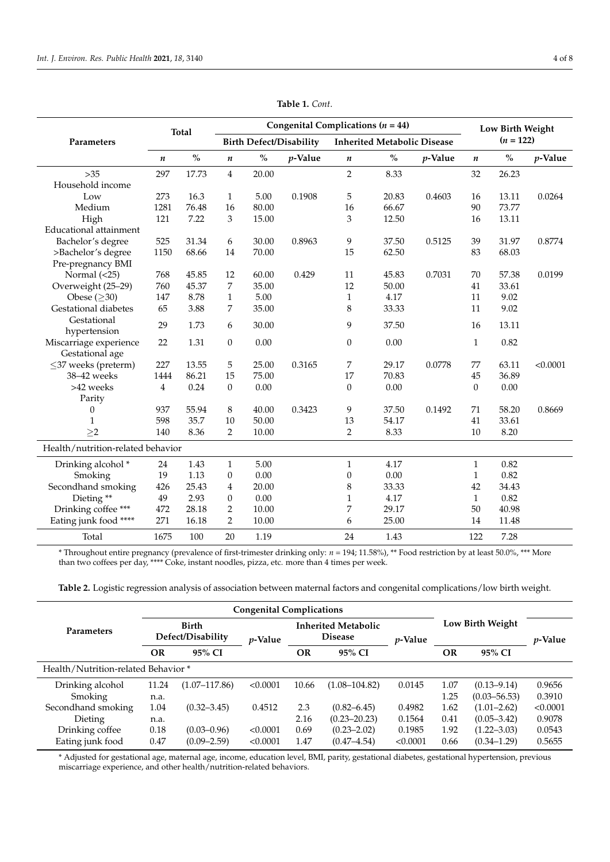<span id="page-3-0"></span>

|                                   | <b>Total</b> |                                    | Congenital Complications ( $n = 44$ ) |       |         |                                    |       |            |                  | Low Birth Weight                   |            |
|-----------------------------------|--------------|------------------------------------|---------------------------------------|-------|---------|------------------------------------|-------|------------|------------------|------------------------------------|------------|
| Parameters                        |              |                                    | <b>Birth Defect/Disability</b>        |       |         | <b>Inherited Metabolic Disease</b> |       |            | $(n = 122)$      |                                    |            |
|                                   | n            | $\mathbf{0}_{\mathbf{0}}^{\prime}$ | $\boldsymbol{n}$                      | $\%$  | p-Value | $\pmb{n}$                          | $\%$  | $p$ -Value | $\boldsymbol{n}$ | $\mathbf{O}_{\mathbf{O}}^{\prime}$ | $p$ -Value |
| $>35$                             | 297          | 17.73                              | $\overline{4}$                        | 20.00 |         | $\overline{2}$                     | 8.33  |            | 32               | 26.23                              |            |
| Household income                  |              |                                    |                                       |       |         |                                    |       |            |                  |                                    |            |
| Low                               | 273          | 16.3                               | $\mathbf{1}$                          | 5.00  | 0.1908  | 5                                  | 20.83 | 0.4603     | 16               | 13.11                              | 0.0264     |
| Medium                            | 1281         | 76.48                              | 16                                    | 80.00 |         | 16                                 | 66.67 |            | 90               | 73.77                              |            |
| High                              | 121          | 7.22                               | 3                                     | 15.00 |         | 3                                  | 12.50 |            | 16               | 13.11                              |            |
| Educational attainment            |              |                                    |                                       |       |         |                                    |       |            |                  |                                    |            |
| Bachelor's degree                 | 525          | 31.34                              | 6                                     | 30.00 | 0.8963  | 9                                  | 37.50 | 0.5125     | 39               | 31.97                              | 0.8774     |
| >Bachelor's degree                | 1150         | 68.66                              | 14                                    | 70.00 |         | 15                                 | 62.50 |            | 83               | 68.03                              |            |
| Pre-pregnancy BMI                 |              |                                    |                                       |       |         |                                    |       |            |                  |                                    |            |
| Normal $(<25)$                    | 768          | 45.85                              | 12                                    | 60.00 | 0.429   | 11                                 | 45.83 | 0.7031     | 70               | 57.38                              | 0.0199     |
| Overweight (25-29)                | 760          | 45.37                              | 7                                     | 35.00 |         | 12                                 | 50.00 |            | 41               | 33.61                              |            |
| Obese $(\geq 30)$                 | 147          | 8.78                               | $\mathbf{1}$                          | 5.00  |         | $\mathbf{1}$                       | 4.17  |            | 11               | 9.02                               |            |
| Gestational diabetes              | 65           | 3.88                               | 7                                     | 35.00 |         | 8                                  | 33.33 |            | 11               | 9.02                               |            |
| Gestational                       | 29           | 1.73                               | 6                                     | 30.00 |         | 9                                  | 37.50 |            | 16               | 13.11                              |            |
| hypertension                      |              |                                    |                                       |       |         |                                    |       |            |                  |                                    |            |
| Miscarriage experience            | 22           | 1.31                               | $\boldsymbol{0}$                      | 0.00  |         | $\theta$                           | 0.00  |            | $\mathbf{1}$     | 0.82                               |            |
| Gestational age                   |              |                                    |                                       |       |         |                                    |       |            |                  |                                    |            |
| $\leq$ 37 weeks (preterm)         | 227          | 13.55                              | 5                                     | 25.00 | 0.3165  | 7                                  | 29.17 | 0.0778     | 77               | 63.11                              | < 0.0001   |
| 38-42 weeks                       | 1444         | 86.21                              | 15                                    | 75.00 |         | 17                                 | 70.83 |            | 45               | 36.89                              |            |
| >42 weeks                         | 4            | 0.24                               | $\theta$                              | 0.00  |         | $\Omega$                           | 0.00  |            | $\Omega$         | 0.00                               |            |
| Parity                            |              |                                    |                                       |       |         |                                    |       |            |                  |                                    |            |
| 0                                 | 937          | 55.94                              | 8                                     | 40.00 | 0.3423  | 9                                  | 37.50 | 0.1492     | 71               | 58.20                              | 0.8669     |
| $\mathbf{1}$                      | 598          | 35.7                               | 10                                    | 50.00 |         | 13                                 | 54.17 |            | 41               | 33.61                              |            |
| $\geq$ 2                          | 140          | 8.36                               | 2                                     | 10.00 |         | $\overline{2}$                     | 8.33  |            | 10               | 8.20                               |            |
| Health/nutrition-related behavior |              |                                    |                                       |       |         |                                    |       |            |                  |                                    |            |
| Drinking alcohol <sup>*</sup>     | 24           | 1.43                               | $\mathbf{1}$                          | 5.00  |         | $\mathbf{1}$                       | 4.17  |            | $\mathbf{1}$     | 0.82                               |            |
| Smoking                           | 19           | 1.13                               | 0                                     | 0.00  |         | $\mathbf{0}$                       | 0.00  |            | $\mathbf{1}$     | 0.82                               |            |
| Secondhand smoking                | 426          | 25.43                              | 4                                     | 20.00 |         | 8                                  | 33.33 |            | 42               | 34.43                              |            |
| Dieting**                         | 49           | 2.93                               | $\boldsymbol{0}$                      | 0.00  |         | $\mathbf{1}$                       | 4.17  |            | $\mathbf{1}$     | 0.82                               |            |
| Drinking coffee ***               | 472          | 28.18                              | 2                                     | 10.00 |         | 7                                  | 29.17 |            | 50               | 40.98                              |            |
| Eating junk food ****             | 271          | 16.18                              | 2                                     | 10.00 |         | 6                                  | 25.00 |            | 14               | 11.48                              |            |
| Total                             | 1675         | 100                                | 20                                    | 1.19  |         | 24                                 | 1.43  |            | 122              | 7.28                               |            |

**Table 1.** *Cont*.

\* Throughout entire pregnancy (prevalence of first-trimester drinking only: *n* = 194; 11.58%), \*\* Food restriction by at least 50.0%, \*\*\* More than two coffees per day, \*\*\*\* Coke, instant noodles, pizza, etc. more than 4 times per week.

<span id="page-3-1"></span>**Table 2.** Logistic regression analysis of association between maternal factors and congenital complications/low birth weight.

|                                     |       | <b>Congenital Complications</b>   |                 |                                              |                   |                 |                  |                  |          |
|-------------------------------------|-------|-----------------------------------|-----------------|----------------------------------------------|-------------------|-----------------|------------------|------------------|----------|
| <b>Parameters</b>                   |       | <b>Birth</b><br>Defect/Disability | <i>v</i> -Value | <b>Inherited Metabolic</b><br><b>Disease</b> |                   | <i>p</i> -Value | Low Birth Weight | <i>p</i> -Value  |          |
|                                     | OR    | 95% CI                            |                 | OR                                           | 95% CI            |                 | <b>OR</b>        | 95% CI           |          |
| Health/Nutrition-related Behavior * |       |                                   |                 |                                              |                   |                 |                  |                  |          |
| Drinking alcohol                    | 11.24 | $(1.07 - 117.86)$                 | < 0.0001        | 10.66                                        | $(1.08 - 104.82)$ | 0.0145          | 1.07             | $(0.13 - 9.14)$  | 0.9656   |
| Smoking                             | n.a.  |                                   |                 |                                              |                   |                 | 1.25             | $(0.03 - 56.53)$ | 0.3910   |
| Secondhand smoking                  | 1.04  | $(0.32 - 3.45)$                   | 0.4512          | 2.3                                          | $(0.82 - 6.45)$   | 0.4982          | 1.62             | $(1.01 - 2.62)$  | < 0.0001 |
| Dieting                             | n.a.  |                                   |                 | 2.16                                         | $(0.23 - 20.23)$  | 0.1564          | 0.41             | $(0.05 - 3.42)$  | 0.9078   |
| Drinking coffee                     | 0.18  | $(0.03 - 0.96)$                   | < 0.0001        | 0.69                                         | $(0.23 - 2.02)$   | 0.1985          | 1.92             | $(1.22 - 3.03)$  | 0.0543   |
| Eating junk food                    | 0.47  | $(0.09 - 2.59)$                   | < 0.0001        | 1.47                                         | $(0.47 - 4.54)$   | < 0.0001        | 0.66             | $(0.34 - 1.29)$  | 0.5655   |

\* Adjusted for gestational age, maternal age, income, education level, BMI, parity, gestational diabetes, gestational hypertension, previous miscarriage experience, and other health/nutrition-related behaviors.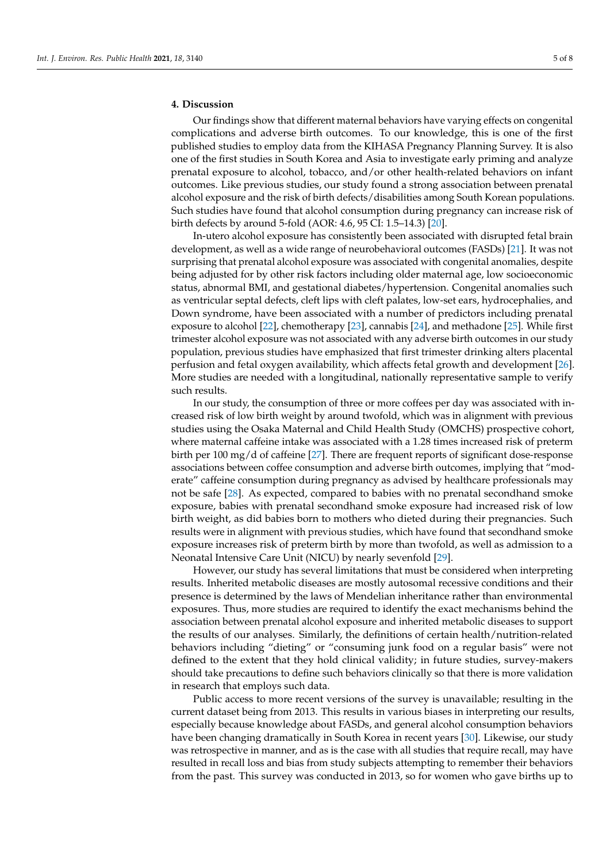## **4. Discussion**

Our findings show that different maternal behaviors have varying effects on congenital complications and adverse birth outcomes. To our knowledge, this is one of the first published studies to employ data from the KIHASA Pregnancy Planning Survey. It is also one of the first studies in South Korea and Asia to investigate early priming and analyze prenatal exposure to alcohol, tobacco, and/or other health-related behaviors on infant outcomes. Like previous studies, our study found a strong association between prenatal alcohol exposure and the risk of birth defects/disabilities among South Korean populations. Such studies have found that alcohol consumption during pregnancy can increase risk of birth defects by around 5-fold (AOR: 4.6, 95 CI: 1.5–14.3) [\[20\]](#page-6-19).

In-utero alcohol exposure has consistently been associated with disrupted fetal brain development, as well as a wide range of neurobehavioral outcomes (FASDs) [\[21\]](#page-6-20). It was not surprising that prenatal alcohol exposure was associated with congenital anomalies, despite being adjusted for by other risk factors including older maternal age, low socioeconomic status, abnormal BMI, and gestational diabetes/hypertension. Congenital anomalies such as ventricular septal defects, cleft lips with cleft palates, low-set ears, hydrocephalies, and Down syndrome, have been associated with a number of predictors including prenatal exposure to alcohol [\[22\]](#page-7-0), chemotherapy [\[23\]](#page-7-1), cannabis [\[24\]](#page-7-2), and methadone [\[25\]](#page-7-3). While first trimester alcohol exposure was not associated with any adverse birth outcomes in our study population, previous studies have emphasized that first trimester drinking alters placental perfusion and fetal oxygen availability, which affects fetal growth and development [\[26\]](#page-7-4). More studies are needed with a longitudinal, nationally representative sample to verify such results.

In our study, the consumption of three or more coffees per day was associated with increased risk of low birth weight by around twofold, which was in alignment with previous studies using the Osaka Maternal and Child Health Study (OMCHS) prospective cohort, where maternal caffeine intake was associated with a 1.28 times increased risk of preterm birth per 100 mg/d of caffeine [\[27\]](#page-7-5). There are frequent reports of significant dose-response associations between coffee consumption and adverse birth outcomes, implying that "moderate" caffeine consumption during pregnancy as advised by healthcare professionals may not be safe [\[28\]](#page-7-6). As expected, compared to babies with no prenatal secondhand smoke exposure, babies with prenatal secondhand smoke exposure had increased risk of low birth weight, as did babies born to mothers who dieted during their pregnancies. Such results were in alignment with previous studies, which have found that secondhand smoke exposure increases risk of preterm birth by more than twofold, as well as admission to a Neonatal Intensive Care Unit (NICU) by nearly sevenfold [\[29\]](#page-7-7).

However, our study has several limitations that must be considered when interpreting results. Inherited metabolic diseases are mostly autosomal recessive conditions and their presence is determined by the laws of Mendelian inheritance rather than environmental exposures. Thus, more studies are required to identify the exact mechanisms behind the association between prenatal alcohol exposure and inherited metabolic diseases to support the results of our analyses. Similarly, the definitions of certain health/nutrition-related behaviors including "dieting" or "consuming junk food on a regular basis" were not defined to the extent that they hold clinical validity; in future studies, survey-makers should take precautions to define such behaviors clinically so that there is more validation in research that employs such data.

Public access to more recent versions of the survey is unavailable; resulting in the current dataset being from 2013. This results in various biases in interpreting our results, especially because knowledge about FASDs, and general alcohol consumption behaviors have been changing dramatically in South Korea in recent years [\[30\]](#page-7-8). Likewise, our study was retrospective in manner, and as is the case with all studies that require recall, may have resulted in recall loss and bias from study subjects attempting to remember their behaviors from the past. This survey was conducted in 2013, so for women who gave births up to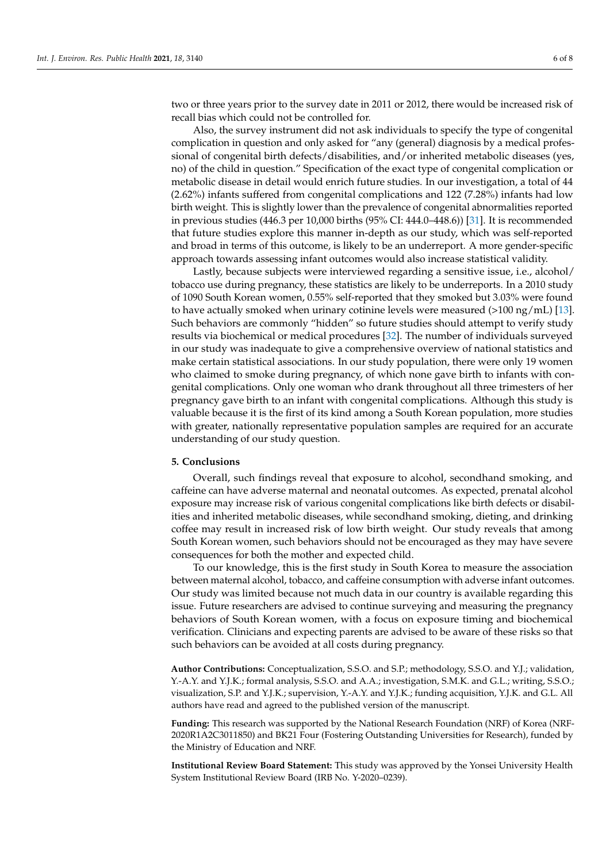two or three years prior to the survey date in 2011 or 2012, there would be increased risk of recall bias which could not be controlled for.

Also, the survey instrument did not ask individuals to specify the type of congenital complication in question and only asked for "any (general) diagnosis by a medical professional of congenital birth defects/disabilities, and/or inherited metabolic diseases (yes, no) of the child in question." Specification of the exact type of congenital complication or metabolic disease in detail would enrich future studies. In our investigation, a total of 44 (2.62%) infants suffered from congenital complications and 122 (7.28%) infants had low birth weight. This is slightly lower than the prevalence of congenital abnormalities reported in previous studies (446.3 per 10,000 births (95% CI: 444.0–448.6)) [\[31\]](#page-7-9). It is recommended that future studies explore this manner in-depth as our study, which was self-reported and broad in terms of this outcome, is likely to be an underreport. A more gender-specific approach towards assessing infant outcomes would also increase statistical validity.

Lastly, because subjects were interviewed regarding a sensitive issue, i.e., alcohol/ tobacco use during pregnancy, these statistics are likely to be underreports. In a 2010 study of 1090 South Korean women, 0.55% self-reported that they smoked but 3.03% were found to have actually smoked when urinary cotinine levels were measured  $(>100 \text{ ng/mL})$  [\[13\]](#page-6-12). Such behaviors are commonly "hidden" so future studies should attempt to verify study results via biochemical or medical procedures [\[32\]](#page-7-10). The number of individuals surveyed in our study was inadequate to give a comprehensive overview of national statistics and make certain statistical associations. In our study population, there were only 19 women who claimed to smoke during pregnancy, of which none gave birth to infants with congenital complications. Only one woman who drank throughout all three trimesters of her pregnancy gave birth to an infant with congenital complications. Although this study is valuable because it is the first of its kind among a South Korean population, more studies with greater, nationally representative population samples are required for an accurate understanding of our study question.

#### **5. Conclusions**

Overall, such findings reveal that exposure to alcohol, secondhand smoking, and caffeine can have adverse maternal and neonatal outcomes. As expected, prenatal alcohol exposure may increase risk of various congenital complications like birth defects or disabilities and inherited metabolic diseases, while secondhand smoking, dieting, and drinking coffee may result in increased risk of low birth weight. Our study reveals that among South Korean women, such behaviors should not be encouraged as they may have severe consequences for both the mother and expected child.

To our knowledge, this is the first study in South Korea to measure the association between maternal alcohol, tobacco, and caffeine consumption with adverse infant outcomes. Our study was limited because not much data in our country is available regarding this issue. Future researchers are advised to continue surveying and measuring the pregnancy behaviors of South Korean women, with a focus on exposure timing and biochemical verification. Clinicians and expecting parents are advised to be aware of these risks so that such behaviors can be avoided at all costs during pregnancy.

**Author Contributions:** Conceptualization, S.S.O. and S.P.; methodology, S.S.O. and Y.J.; validation, Y.-A.Y. and Y.J.K.; formal analysis, S.S.O. and A.A.; investigation, S.M.K. and G.L.; writing, S.S.O.; visualization, S.P. and Y.J.K.; supervision, Y.-A.Y. and Y.J.K.; funding acquisition, Y.J.K. and G.L. All authors have read and agreed to the published version of the manuscript.

**Funding:** This research was supported by the National Research Foundation (NRF) of Korea (NRF-2020R1A2C3011850) and BK21 Four (Fostering Outstanding Universities for Research), funded by the Ministry of Education and NRF.

**Institutional Review Board Statement:** This study was approved by the Yonsei University Health System Institutional Review Board (IRB No. Y-2020–0239).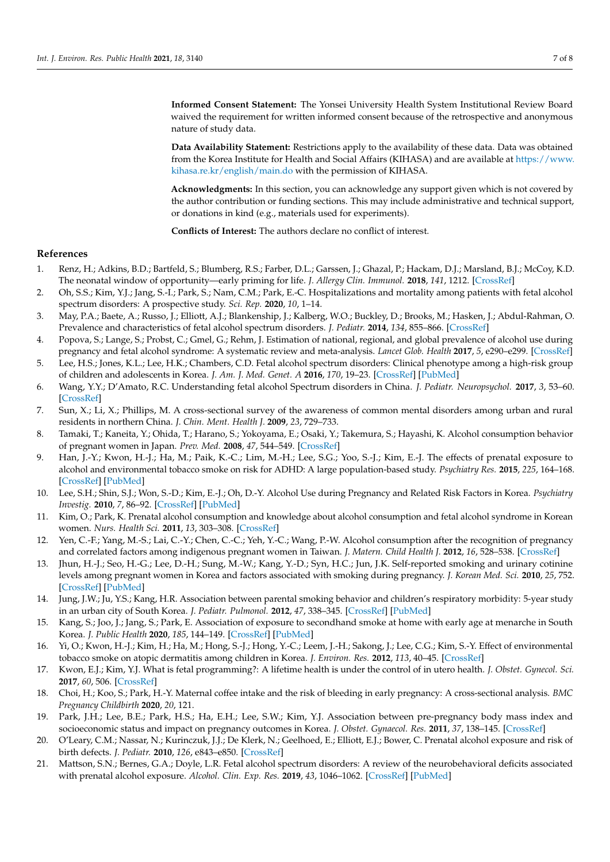**Informed Consent Statement:** The Yonsei University Health System Institutional Review Board waived the requirement for written informed consent because of the retrospective and anonymous nature of study data.

**Data Availability Statement:** Restrictions apply to the availability of these data. Data was obtained from the Korea Institute for Health and Social Affairs (KIHASA) and are available at [https://www.](https://www.kihasa.re.kr/english/main.do) [kihasa.re.kr/english/main.do](https://www.kihasa.re.kr/english/main.do) with the permission of KIHASA.

**Acknowledgments:** In this section, you can acknowledge any support given which is not covered by the author contribution or funding sections. This may include administrative and technical support, or donations in kind (e.g., materials used for experiments).

**Conflicts of Interest:** The authors declare no conflict of interest.

### **References**

- <span id="page-6-0"></span>1. Renz, H.; Adkins, B.D.; Bartfeld, S.; Blumberg, R.S.; Farber, D.L.; Garssen, J.; Ghazal, P.; Hackam, D.J.; Marsland, B.J.; McCoy, K.D. The neonatal window of opportunity—early priming for life. *J. Allergy Clin. Immunol.* **2018**, *141*, 1212. [\[CrossRef\]](http://doi.org/10.1016/j.jaci.2017.11.019)
- <span id="page-6-1"></span>2. Oh, S.S.; Kim, Y.J.; Jang, S.-I.; Park, S.; Nam, C.M.; Park, E.-C. Hospitalizations and mortality among patients with fetal alcohol spectrum disorders: A prospective study. *Sci. Rep.* **2020**, *10*, 1–14.
- <span id="page-6-2"></span>3. May, P.A.; Baete, A.; Russo, J.; Elliott, A.J.; Blankenship, J.; Kalberg, W.O.; Buckley, D.; Brooks, M.; Hasken, J.; Abdul-Rahman, O. Prevalence and characteristics of fetal alcohol spectrum disorders. *J. Pediatr.* **2014**, *134*, 855–866. [\[CrossRef\]](http://doi.org/10.1542/peds.2013-3319)
- <span id="page-6-3"></span>4. Popova, S.; Lange, S.; Probst, C.; Gmel, G.; Rehm, J. Estimation of national, regional, and global prevalence of alcohol use during pregnancy and fetal alcohol syndrome: A systematic review and meta-analysis. *Lancet Glob. Health* **2017**, *5*, e290–e299. [\[CrossRef\]](http://doi.org/10.1016/S2214-109X(17)30021-9)
- <span id="page-6-4"></span>5. Lee, H.S.; Jones, K.L.; Lee, H.K.; Chambers, C.D. Fetal alcohol spectrum disorders: Clinical phenotype among a high-risk group of children and adolescents in Korea. *J. Am. J. Med. Genet. A* **2016**, *170*, 19–23. [\[CrossRef\]](http://doi.org/10.1002/ajmg.a.37392) [\[PubMed\]](http://www.ncbi.nlm.nih.gov/pubmed/26384109)
- <span id="page-6-5"></span>6. Wang, Y.Y.; D'Amato, R.C. Understanding fetal alcohol Spectrum disorders in China. *J. Pediatr. Neuropsychol.* **2017**, *3*, 53–60. [\[CrossRef\]](http://doi.org/10.1007/s40817-017-0029-0)
- <span id="page-6-6"></span>7. Sun, X.; Li, X.; Phillips, M. A cross-sectional survey of the awareness of common mental disorders among urban and rural residents in northern China. *J. Chin. Ment. Health J.* **2009**, *23*, 729–733.
- <span id="page-6-7"></span>8. Tamaki, T.; Kaneita, Y.; Ohida, T.; Harano, S.; Yokoyama, E.; Osaki, Y.; Takemura, S.; Hayashi, K. Alcohol consumption behavior of pregnant women in Japan. *Prev. Med.* **2008**, *47*, 544–549. [\[CrossRef\]](http://doi.org/10.1016/j.ypmed.2008.07.013)
- <span id="page-6-8"></span>9. Han, J.-Y.; Kwon, H.-J.; Ha, M.; Paik, K.-C.; Lim, M.-H.; Lee, S.G.; Yoo, S.-J.; Kim, E.-J. The effects of prenatal exposure to alcohol and environmental tobacco smoke on risk for ADHD: A large population-based study. *Psychiatry Res.* **2015**, *225*, 164–168. [\[CrossRef\]](http://doi.org/10.1016/j.psychres.2014.11.009) [\[PubMed\]](http://www.ncbi.nlm.nih.gov/pubmed/25481018)
- <span id="page-6-9"></span>10. Lee, S.H.; Shin, S.J.; Won, S.-D.; Kim, E.-J.; Oh, D.-Y. Alcohol Use during Pregnancy and Related Risk Factors in Korea. *Psychiatry Investig.* **2010**, *7*, 86–92. [\[CrossRef\]](http://doi.org/10.4306/pi.2010.7.2.86) [\[PubMed\]](http://www.ncbi.nlm.nih.gov/pubmed/20577616)
- <span id="page-6-10"></span>11. Kim, O.; Park, K. Prenatal alcohol consumption and knowledge about alcohol consumption and fetal alcohol syndrome in Korean women. *Nurs. Health Sci.* **2011**, *13*, 303–308. [\[CrossRef\]](http://doi.org/10.1111/j.1442-2018.2011.00618.x)
- <span id="page-6-11"></span>12. Yen, C.-F.; Yang, M.-S.; Lai, C.-Y.; Chen, C.-C.; Yeh, Y.-C.; Wang, P.-W. Alcohol consumption after the recognition of pregnancy and correlated factors among indigenous pregnant women in Taiwan. *J. Matern. Child Health J.* **2012**, *16*, 528–538. [\[CrossRef\]](http://doi.org/10.1007/s10995-011-0747-3)
- <span id="page-6-12"></span>13. Jhun, H.-J.; Seo, H.-G.; Lee, D.-H.; Sung, M.-W.; Kang, Y.-D.; Syn, H.C.; Jun, J.K. Self-reported smoking and urinary cotinine levels among pregnant women in Korea and factors associated with smoking during pregnancy. *J. Korean Med. Sci.* **2010**, *25*, 752. [\[CrossRef\]](http://doi.org/10.3346/jkms.2010.25.5.752) [\[PubMed\]](http://www.ncbi.nlm.nih.gov/pubmed/20436713)
- <span id="page-6-13"></span>14. Jung, J.W.; Ju, Y.S.; Kang, H.R. Association between parental smoking behavior and children's respiratory morbidity: 5-year study in an urban city of South Korea. *J. Pediatr. Pulmonol.* **2012**, *47*, 338–345. [\[CrossRef\]](http://doi.org/10.1002/ppul.21556) [\[PubMed\]](http://www.ncbi.nlm.nih.gov/pubmed/22006579)
- <span id="page-6-14"></span>15. Kang, S.; Joo, J.; Jang, S.; Park, E. Association of exposure to secondhand smoke at home with early age at menarche in South Korea. *J. Public Health* **2020**, *185*, 144–149. [\[CrossRef\]](http://doi.org/10.1016/j.puhe.2020.04.041) [\[PubMed\]](http://www.ncbi.nlm.nih.gov/pubmed/32622222)
- <span id="page-6-15"></span>16. Yi, O.; Kwon, H.-J.; Kim, H.; Ha, M.; Hong, S.-J.; Hong, Y.-C.; Leem, J.-H.; Sakong, J.; Lee, C.G.; Kim, S.-Y. Effect of environmental tobacco smoke on atopic dermatitis among children in Korea. *J. Environ. Res.* **2012**, *113*, 40–45. [\[CrossRef\]](http://doi.org/10.1016/j.envres.2011.12.012)
- <span id="page-6-16"></span>17. Kwon, E.J.; Kim, Y.J. What is fetal programming?: A lifetime health is under the control of in utero health. *J. Obstet. Gynecol. Sci.* **2017**, *60*, 506. [\[CrossRef\]](http://doi.org/10.5468/ogs.2017.60.6.506)
- <span id="page-6-17"></span>18. Choi, H.; Koo, S.; Park, H.-Y. Maternal coffee intake and the risk of bleeding in early pregnancy: A cross-sectional analysis. *BMC Pregnancy Childbirth* **2020**, *20*, 121.
- <span id="page-6-18"></span>19. Park, J.H.; Lee, B.E.; Park, H.S.; Ha, E.H.; Lee, S.W.; Kim, Y.J. Association between pre-pregnancy body mass index and socioeconomic status and impact on pregnancy outcomes in Korea. *J. Obstet. Gynaecol. Res.* **2011**, *37*, 138–145. [\[CrossRef\]](http://doi.org/10.1111/j.1447-0756.2010.01332.x)
- <span id="page-6-19"></span>20. O'Leary, C.M.; Nassar, N.; Kurinczuk, J.J.; De Klerk, N.; Geelhoed, E.; Elliott, E.J.; Bower, C. Prenatal alcohol exposure and risk of birth defects. *J. Pediatr.* **2010**, *126*, e843–e850. [\[CrossRef\]](http://doi.org/10.1542/peds.2010-0256)
- <span id="page-6-20"></span>21. Mattson, S.N.; Bernes, G.A.; Doyle, L.R. Fetal alcohol spectrum disorders: A review of the neurobehavioral deficits associated with prenatal alcohol exposure. *Alcohol. Clin. Exp. Res.* **2019**, *43*, 1046–1062. [\[CrossRef\]](http://doi.org/10.1111/acer.14040) [\[PubMed\]](http://www.ncbi.nlm.nih.gov/pubmed/30964197)